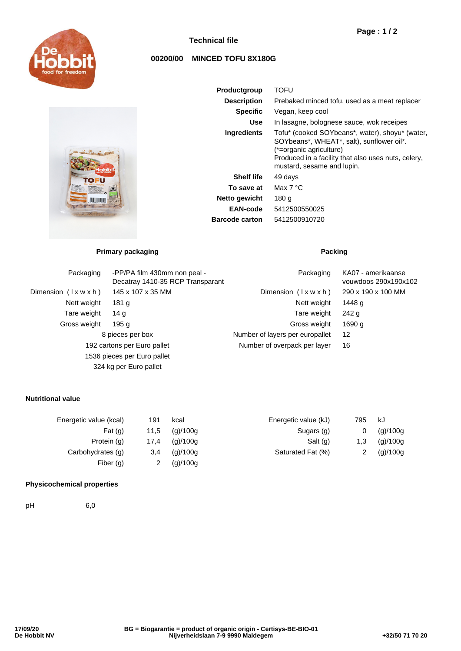

## **Technical file**

# **00200/00 MINCED TOFU 8X180G**

| Gel<br><b>Materburn</b><br>u.<br>3.51<br>s.<br>200<br><b>Security</b> | fonet<br>fine<br>$\lambda$ akt-l<br>годаринета.<br>between the nagar<br><b>UTE IS</b><br>×.<br><b>Rives de soon</b><br>Animal<br>ల<br>412500<br>τ<br>w<br><b>All and</b> | freedon<br><b>ISR</b> |  |
|-----------------------------------------------------------------------|--------------------------------------------------------------------------------------------------------------------------------------------------------------------------|-----------------------|--|

| Productgroup          | TOFU                                                                                                                                                                                                         |
|-----------------------|--------------------------------------------------------------------------------------------------------------------------------------------------------------------------------------------------------------|
| <b>Description</b>    | Prebaked minced tofu, used as a meat replacer                                                                                                                                                                |
| <b>Specific</b>       | Vegan, keep cool                                                                                                                                                                                             |
| Use                   | In lasagne, bolognese sauce, wok receipes                                                                                                                                                                    |
| Ingredients           | Tofu* (cooked SOYbeans*, water), shoyu* (water,<br>SOYbeans*, WHEAT*, salt), sunflower oil*.<br>(*=organic agriculture)<br>Produced in a facility that also uses nuts, celery,<br>mustard, sesame and lupin. |
| <b>Shelf life</b>     | 49 days                                                                                                                                                                                                      |
| To save at            | Max $7^{\circ}$ C                                                                                                                                                                                            |
| Netto gewicht         | 180 g                                                                                                                                                                                                        |
| EAN-code              | 5412500550025                                                                                                                                                                                                |
| <b>Barcode carton</b> | 5412500910720                                                                                                                                                                                                |

# **Primary packaging Packing Packing**

| Packaging                     | -PP/PA film 430mm non peal -<br>Decatray 1410-35 RCP Transparant | Packaging                       | KA07 - amerikaanse<br>vouwdoos 290x190x102 |
|-------------------------------|------------------------------------------------------------------|---------------------------------|--------------------------------------------|
| Dimension $(\forall x w x h)$ | 145 x 107 x 35 MM                                                | Dimension $(\forall x w x h)$   | 290 x 190 x 100 MM                         |
| Nett weight                   | 181 g                                                            | Nett weight                     | 1448 g                                     |
| Tare weight                   | 14 g                                                             | Tare weight                     | 242q                                       |
| Gross weight                  | 195 g                                                            | Gross weight                    | 1690 g                                     |
|                               | 8 pieces per box                                                 | Number of layers per europallet | 12                                         |
|                               | 192 cartons per Euro pallet                                      | Number of overpack per layer    | 16                                         |
|                               | 1536 pieces per Euro pallet                                      |                                 |                                            |
|                               | 324 kg per Euro pallet                                           |                                 |                                            |

### **Nutritional value**

| Energetic value (kcal) | 191  | kcal     | Energetic value (kJ) | 795 | kJ       |
|------------------------|------|----------|----------------------|-----|----------|
| Fat $(q)$              | 11,5 | (q)/100q | Sugars (g)           | 0   | (g)/100g |
| Protein (g)            | 17.4 | (q)/100q | Salt (g)             | 1,3 | (g)/100g |
| Carbohydrates (g)      | 3.4  | (q)/100q | Saturated Fat (%)    |     | (g)/100g |
| Fiber $(q)$            |      | (g)/100g |                      |     |          |

#### **Physicochemical properties**

pH 6,0